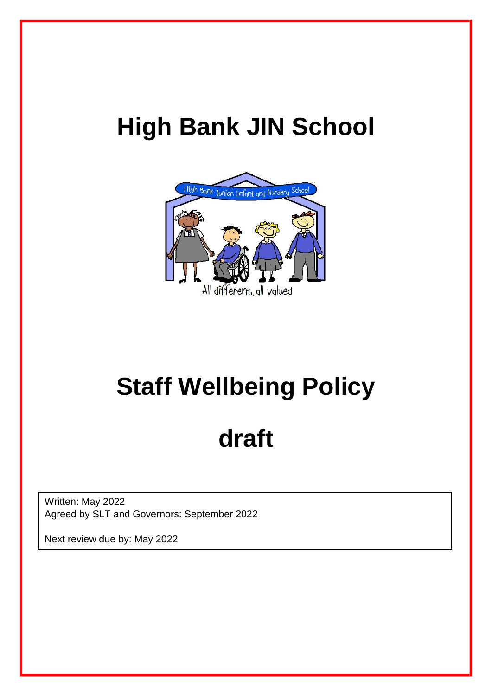# **High Bank JIN School**



# **Staff Wellbeing Policy**

# **draft**

Written: May 2022 Agreed by SLT and Governors: September 2022

Next review due by: May 2022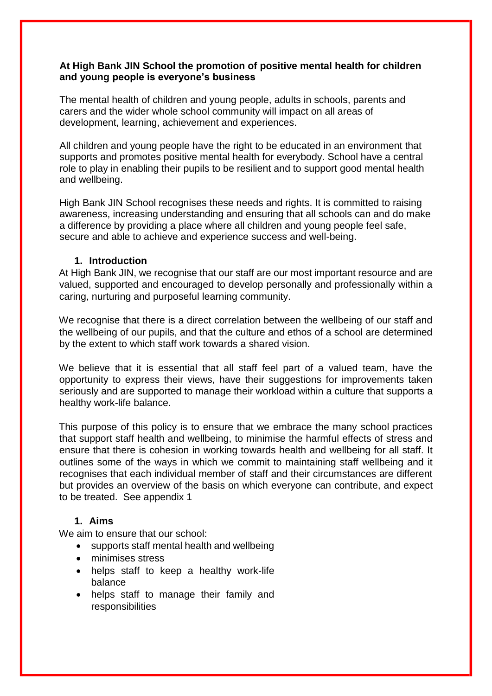#### **At High Bank JIN School the promotion of positive mental health for children and young people is everyone's business**

The mental health of children and young people, adults in schools, parents and carers and the wider whole school community will impact on all areas of development, learning, achievement and experiences.

All children and young people have the right to be educated in an environment that supports and promotes positive mental health for everybody. School have a central role to play in enabling their pupils to be resilient and to support good mental health and wellbeing.

High Bank JIN School recognises these needs and rights. It is committed to raising awareness, increasing understanding and ensuring that all schools can and do make a difference by providing a place where all children and young people feel safe, secure and able to achieve and experience success and well-being.

#### **1. Introduction**

At High Bank JIN, we recognise that our staff are our most important resource and are valued, supported and encouraged to develop personally and professionally within a caring, nurturing and purposeful learning community.

We recognise that there is a direct correlation between the wellbeing of our staff and the wellbeing of our pupils, and that the culture and ethos of a school are determined by the extent to which staff work towards a shared vision.

We believe that it is essential that all staff feel part of a valued team, have the opportunity to express their views, have their suggestions for improvements taken seriously and are supported to manage their workload within a culture that supports a healthy work-life balance.

This purpose of this policy is to ensure that we embrace the many school practices that support staff health and wellbeing, to minimise the harmful effects of stress and ensure that there is cohesion in working towards health and wellbeing for all staff. It outlines some of the ways in which we commit to maintaining staff wellbeing and it recognises that each individual member of staff and their circumstances are different but provides an overview of the basis on which everyone can contribute, and expect to be treated. See appendix 1

## **1. Aims**

We aim to ensure that our school:

- supports staff mental health and wellbeing
- minimises stress
- helps staff to keep a healthy work-life balance
- helps staff to manage their family and responsibilities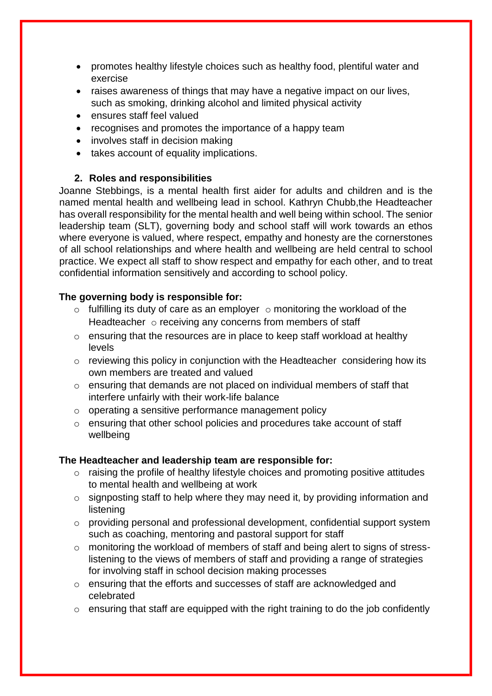- promotes healthy lifestyle choices such as healthy food, plentiful water and exercise
- raises awareness of things that may have a negative impact on our lives, such as smoking, drinking alcohol and limited physical activity
- ensures staff feel valued
- recognises and promotes the importance of a happy team
- involves staff in decision making
- takes account of equality implications.

## **2. Roles and responsibilities**

Joanne Stebbings, is a mental health first aider for adults and children and is the named mental health and wellbeing lead in school. Kathryn Chubb,the Headteacher has overall responsibility for the mental health and well being within school. The senior leadership team (SLT), governing body and school staff will work towards an ethos where everyone is valued, where respect, empathy and honesty are the cornerstones of all school relationships and where health and wellbeing are held central to school practice. We expect all staff to show respect and empathy for each other, and to treat confidential information sensitively and according to school policy.

# **The governing body is responsible for:**

- $\circ$  fulfilling its duty of care as an employer  $\circ$  monitoring the workload of the Headteacher  $\circ$  receiving any concerns from members of staff
- $\circ$  ensuring that the resources are in place to keep staff workload at healthy levels
- o reviewing this policy in conjunction with the Headteacher considering how its own members are treated and valued
- o ensuring that demands are not placed on individual members of staff that interfere unfairly with their work-life balance
- o operating a sensitive performance management policy
- o ensuring that other school policies and procedures take account of staff wellbeing

### **The Headteacher and leadership team are responsible for:**

- o raising the profile of healthy lifestyle choices and promoting positive attitudes to mental health and wellbeing at work
- $\circ$  signposting staff to help where they may need it, by providing information and listening
- o providing personal and professional development, confidential support system such as coaching, mentoring and pastoral support for staff
- o monitoring the workload of members of staff and being alert to signs of stresslistening to the views of members of staff and providing a range of strategies for involving staff in school decision making processes
- o ensuring that the efforts and successes of staff are acknowledged and celebrated
- $\circ$  ensuring that staff are equipped with the right training to do the job confidently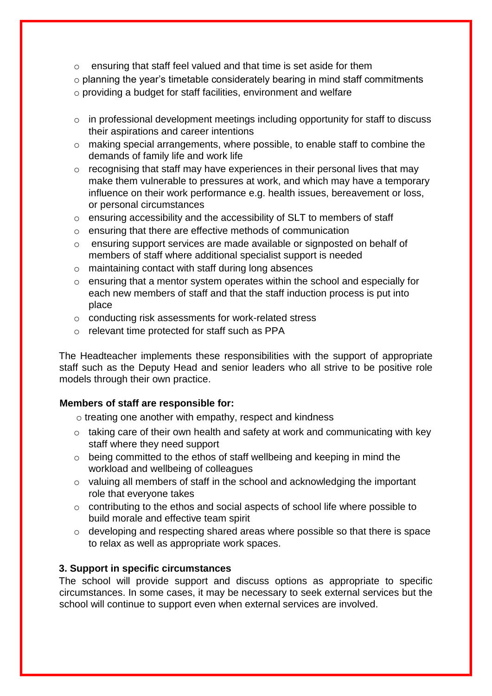- o ensuring that staff feel valued and that time is set aside for them
- o planning the year's timetable considerately bearing in mind staff commitments
- o providing a budget for staff facilities, environment and welfare
- $\circ$  in professional development meetings including opportunity for staff to discuss their aspirations and career intentions
- $\circ$  making special arrangements, where possible, to enable staff to combine the demands of family life and work life
- o recognising that staff may have experiences in their personal lives that may make them vulnerable to pressures at work, and which may have a temporary influence on their work performance e.g. health issues, bereavement or loss, or personal circumstances
- o ensuring accessibility and the accessibility of SLT to members of staff
- o ensuring that there are effective methods of communication
- $\circ$  ensuring support services are made available or signposted on behalf of members of staff where additional specialist support is needed
- o maintaining contact with staff during long absences
- o ensuring that a mentor system operates within the school and especially for each new members of staff and that the staff induction process is put into place
- o conducting risk assessments for work-related stress
- o relevant time protected for staff such as PPA

The Headteacher implements these responsibilities with the support of appropriate staff such as the Deputy Head and senior leaders who all strive to be positive role models through their own practice.

### **Members of staff are responsible for:**

- o treating one another with empathy, respect and kindness
- o taking care of their own health and safety at work and communicating with key staff where they need support
- o being committed to the ethos of staff wellbeing and keeping in mind the workload and wellbeing of colleagues
- o valuing all members of staff in the school and acknowledging the important role that everyone takes
- o contributing to the ethos and social aspects of school life where possible to build morale and effective team spirit
- $\circ$  developing and respecting shared areas where possible so that there is space to relax as well as appropriate work spaces.

# **3. Support in specific circumstances**

The school will provide support and discuss options as appropriate to specific circumstances. In some cases, it may be necessary to seek external services but the school will continue to support even when external services are involved.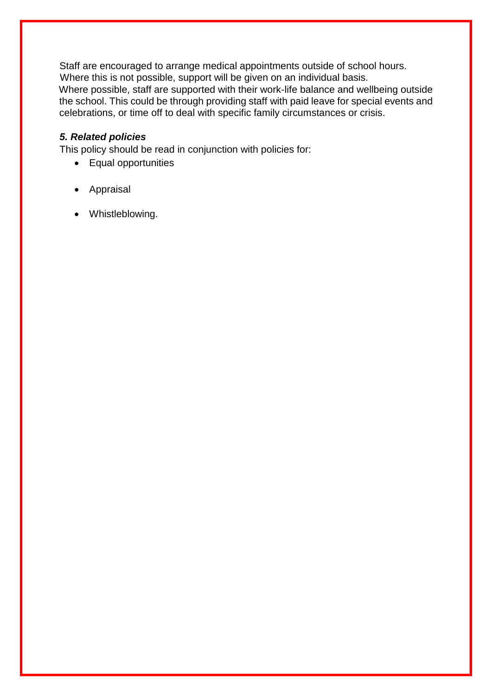Staff are encouraged to arrange medical appointments outside of school hours. Where this is not possible, support will be given on an individual basis. Where possible, staff are supported with their work-life balance and wellbeing outside the school. This could be through providing staff with paid leave for special events and celebrations, or time off to deal with specific family circumstances or crisis.

### *5. Related policies*

This policy should be read in conjunction with policies for:

- Equal opportunities
- Appraisal
- Whistleblowing.